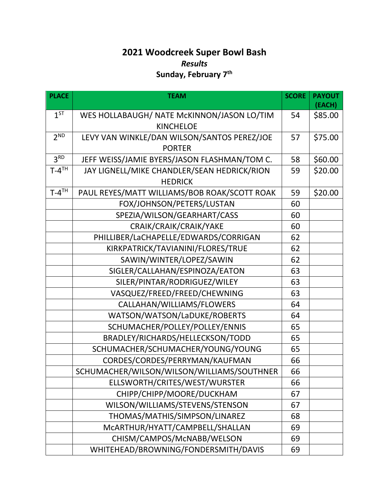## **2021 Woodcreek Super Bowl Bash** *Results* **Sunday, February 7th**

| <b>PLACE</b>          | <b>TEAM</b>                                  | <b>SCORE</b> | <b>PAYOUT</b><br>(EACH) |
|-----------------------|----------------------------------------------|--------------|-------------------------|
| $1^{ST}$              | WES HOLLABAUGH/ NATE McKINNON/JASON LO/TIM   | 54           | \$85.00                 |
|                       | <b>KINCHELOE</b>                             |              |                         |
| 2 <sup>ND</sup>       | LEVY VAN WINKLE/DAN WILSON/SANTOS PEREZ/JOE  | 57           | \$75.00                 |
|                       | <b>PORTER</b>                                |              |                         |
| 3 <sup>RD</sup>       | JEFF WEISS/JAMIE BYERS/JASON FLASHMAN/TOM C. | 58           | \$60.00                 |
| $T - 4$ <sup>TH</sup> | JAY LIGNELL/MIKE CHANDLER/SEAN HEDRICK/RION  | 59           | \$20.00                 |
|                       | <b>HEDRICK</b>                               |              |                         |
| $T - 4$ <sup>TH</sup> | PAUL REYES/MATT WILLIAMS/BOB ROAK/SCOTT ROAK | 59           | \$20.00                 |
|                       | FOX/JOHNSON/PETERS/LUSTAN                    | 60           |                         |
|                       | SPEZIA/WILSON/GEARHART/CASS                  | 60           |                         |
|                       | CRAIK/CRAIK/CRAIK/YAKE                       | 60           |                         |
|                       | PHILLIBER/LaCHAPELLE/EDWARDS/CORRIGAN        | 62           |                         |
|                       | KIRKPATRICK/TAVIANINI/FLORES/TRUE            | 62           |                         |
|                       | SAWIN/WINTER/LOPEZ/SAWIN                     | 62           |                         |
|                       | SIGLER/CALLAHAN/ESPINOZA/EATON               | 63           |                         |
|                       | SILER/PINTAR/RODRIGUEZ/WILEY                 | 63           |                         |
|                       | VASQUEZ/FREED/FREED/CHEWNING                 | 63           |                         |
|                       | CALLAHAN/WILLIAMS/FLOWERS                    | 64           |                         |
|                       | WATSON/WATSON/LaDUKE/ROBERTS                 | 64           |                         |
|                       | SCHUMACHER/POLLEY/POLLEY/ENNIS               | 65           |                         |
|                       | BRADLEY/RICHARDS/HELLECKSON/TODD             | 65           |                         |
|                       | SCHUMACHER/SCHUMACHER/YOUNG/YOUNG            | 65           |                         |
|                       | CORDES/CORDES/PERRYMAN/KAUFMAN               | 66           |                         |
|                       | SCHUMACHER/WILSON/WILSON/WILLIAMS/SOUTHNER   | 66           |                         |
|                       | ELLSWORTH/CRITES/WEST/WURSTER                | 66           |                         |
|                       | CHIPP/CHIPP/MOORE/DUCKHAM                    | 67           |                         |
|                       | WILSON/WILLIAMS/STEVENS/STENSON              | 67           |                         |
|                       | THOMAS/MATHIS/SIMPSON/LINAREZ                | 68           |                         |
|                       | MCARTHUR/HYATT/CAMPBELL/SHALLAN              | 69           |                         |
|                       | CHISM/CAMPOS/McNABB/WELSON                   | 69           |                         |
|                       | WHITEHEAD/BROWNING/FONDERSMITH/DAVIS         | 69           |                         |